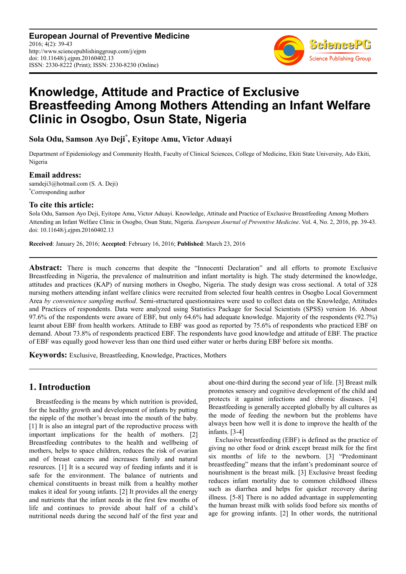**European Journal of Preventive Medicine** 2016; 4(2): 39-43 http://www.sciencepublishinggroup.com/j/ejpm doi: 10.11648/j.ejpm.20160402.13 ISSN: 2330-8222 (Print); ISSN: 2330-8230 (Online)



# **Knowledge, Attitude and Practice of Exclusive Breastfeeding Among Mothers Attending an Infant Welfare Clinic in Osogbo, Osun State, Nigeria**

# **Sola Odu, Samson Ayo Deji\* , Eyitope Amu, Victor Aduayi**

Department of Epidemiology and Community Health, Faculty of Clinical Sciences, College of Medicine, Ekiti State University, Ado Ekiti, Nigeria

### **Email address:**

samdeji3@hotmail.com (S. A. Deji) \*Corresponding author

### **To cite this article:**

Sola Odu, Samson Ayo Deji, Eyitope Amu, Victor Aduayi. Knowledge, Attitude and Practice of Exclusive Breastfeeding Among Mothers Attending an Infant Welfare Clinic in Osogbo, Osun State, Nigeria. *European Journal of Preventive Medicine*. Vol. 4, No. 2, 2016, pp. 39-43. doi: 10.11648/j.ejpm.20160402.13

**Received**: January 26, 2016; **Accepted**: February 16, 2016; **Published**: March 23, 2016

**Abstract:** There is much concerns that despite the "Innocenti Declaration" and all efforts to promote Exclusive Breastfeeding in Nigeria, the prevalence of malnutrition and infant mortality is high. The study determined the knowledge, attitudes and practices (KAP) of nursing mothers in Osogbo, Nigeria. The study design was cross sectional. A total of 328 nursing mothers attending infant welfare clinics were recruited from selected four health centres in Osogbo Local Government Area *by convenience sampling method*. Semi-structured questionnaires were used to collect data on the Knowledge, Attitudes and Practices of respondents. Data were analyzed using Statistics Package for Social Scientists (SPSS) version 16. About 97.6% of the respondents were aware of EBF, but only 64.6% had adequate knowledge. Majority of the respondents (92.7%) learnt about EBF from health workers. Attitude to EBF was good as reported by 75.6% of respondents who practiced EBF on demand. About 73.8% of respondents practiced EBF. The respondents have good knowledge and attitude of EBF. The practice of EBF was equally good however less than one third used either water or herbs during EBF before six months.

**Keywords:** Exclusive, Breastfeeding, Knowledge, Practices, Mothers

# **1. Introduction**

Breastfeeding is the means by which nutrition is provided, for the healthy growth and development of infants by putting the nipple of the mother's breast into the mouth of the baby. [1] It is also an integral part of the reproductive process with important implications for the health of mothers. [2] Breastfeeding contributes to the health and wellbeing of mothers, helps to space children, reduces the risk of ovarian and of breast cancers and increases family and natural resources. [1] It is a secured way of feeding infants and it is safe for the environment. The balance of nutrients and chemical constituents in breast milk from a healthy mother makes it ideal for young infants. [2] It provides all the energy and nutrients that the infant needs in the first few months of life and continues to provide about half of a child's nutritional needs during the second half of the first year and

about one-third during the second year of life. [3] Breast milk promotes sensory and cognitive development of the child and protects it against infections and chronic diseases. [4] Breastfeeding is generally accepted globally by all cultures as the mode of feeding the newborn but the problems have always been how well it is done to improve the health of the infants. [3-4]

Exclusive breastfeeding (EBF) is defined as the practice of giving no other food or drink except breast milk for the first six months of life to the newborn. [3] "Predominant breastfeeding" means that the infant's predominant source of nourishment is the breast milk. [3] Exclusive breast feeding reduces infant mortality due to common childhood illness such as diarrhea and helps for quicker recovery during illness. [5-8] There is no added advantage in supplementing the human breast milk with solids food before six months of age for growing infants. [2] In other words, the nutritional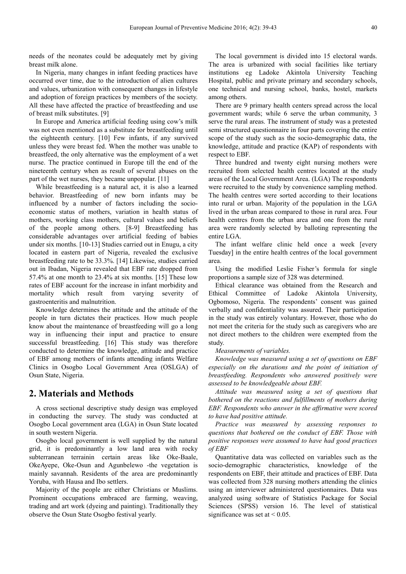needs of the neonates could be adequately met by giving breast milk alone.

In Nigeria, many changes in infant feeding practices have occurred over time, due to the introduction of alien cultures and values, urbanization with consequent changes in lifestyle and adoption of foreign practices by members of the society. All these have affected the practice of breastfeeding and use of breast milk substitutes. [9]

In Europe and America artificial feeding using cow's milk was not even mentioned as a substitute for breastfeeding until the eighteenth century. [10] Few infants, if any survived unless they were breast fed. When the mother was unable to breastfeed, the only alternative was the employment of a wet nurse. The practice continued in Europe till the end of the nineteenth century when as result of several abuses on the part of the wet nurses, they became unpopular. [11]

While breastfeeding is a natural act, it is also a learned behavior. Breastfeeding of new born infants may be influenced by a number of factors including the socioeconomic status of mothers, variation in health status of mothers, working class mothers, cultural values and beliefs of the people among others. [8-9] Breastfeeding has considerable advantages over artificial feeding of babies under six months. [10-13] Studies carried out in Enugu, a city located in eastern part of Nigeria, revealed the exclusive breastfeeding rate to be 33.3%. [14] Likewise, studies carried out in Ibadan, Nigeria revealed that EBF rate dropped from 57.4% at one month to 23.4% at six months. [15] These low rates of EBF account for the increase in infant morbidity and mortality which result from varying severity of gastroenteritis and malnutrition.

Knowledge determines the attitude and the attitude of the people in turn dictates their practices. How much people know about the maintenance of breastfeeding will go a long way in influencing their input and practice to ensure successful breastfeeding. [16] This study was therefore conducted to determine the knowledge, attitude and practice of EBF among mothers of infants attending infants Welfare Clinics in Osogbo Local Government Area (OSLGA) of Osun State, Nigeria.

### **2. Materials and Methods**

A cross sectional descriptive study design was employed in conducting the survey. The study was conducted at Osogbo Local government area (LGA) in Osun State located in south western Nigeria.

Osogbo local government is well supplied by the natural grid, it is predominantly a low land area with rocky subterranean terrainin certain areas like Oke-Baale, OkeAyepe, Oke-Osun and Agunbelewo -the vegetation is mainly savannah. Residents of the area are predominantly Yoruba, with Hausa and Ibo settlers.

Majority of the people are either Christians or Muslims. Prominent occupations embraced are farming, weaving, trading and art work (dyeing and painting). Traditionally they observe the Osun State Osogbo festival yearly.

The local government is divided into 15 electoral wards. The area is urbanized with social facilities like tertiary institutions eg Ladoke Akintola University Teaching Hospital, public and private primary and secondary schools, one technical and nursing school, banks, hostel, markets among others.

There are 9 primary health centers spread across the local government wards; while 6 serve the urban community, 3 serve the rural areas. The instrument of study was a pretested semi structured questionnaire in four parts covering the entire scope of the study such as the socio-demographic data, the knowledge, attitude and practice (KAP) of respondents with respect to EBF.

Three hundred and twenty eight nursing mothers were recruited from selected health centres located at the study areas of the Local Government Area. (LGA) The respondents were recruited to the study by convenience sampling method. The health centres were sorted according to their locations into rural or urban. Majority of the population in the LGA lived in the urban areas compared to those in rural area. Four health centres from the urban area and one from the rural area were randomly selected by balloting representing the entire LGA.

The infant welfare clinic held once a week [every Tuesday] in the entire health centres of the local government area.

Using the modified Leslie Fisher's formula for single proportions a sample size of 328 was determined.

Ethical clearance was obtained from the Research and Ethical Committee of Ladoke Akintola University, Ogbomoso, Nigeria. The respondents' consent was gained verbally and confidentiality was assured. Their participation in the study was entirely voluntary. However, those who do not meet the criteria for the study such as caregivers who are not direct mothers to the children were exempted from the study.

#### *Measurements of variables.*

*Knowledge was measured using a set of questions on EBF especially on the durations and the point of initiation of breastfeeding. Respondents who answered positively were assessed to be knowledgeable about EBF.* 

*Attitude was measured using a set of questions that bothered on the reactions and fulfillments of mothers during EBF. Respondents who answer in the affirmative were scored to have had positive attitude.* 

*Practice was measured by assessing responses to questions that bothered on the conduct of EBF. Those with positive responses were assumed to have had good practices of EBF* 

Quantitative data was collected on variables such as the socio-demographic characteristics, knowledge of the respondents on EBF, their attitude and practices of EBF. Data was collected from 328 nursing mothers attending the clinics using an interviewer administered questionnaires. Data was analyzed using software of Statistics Package for Social Sciences (SPSS) version 16. The level of statistical significance was set at  $< 0.05$ .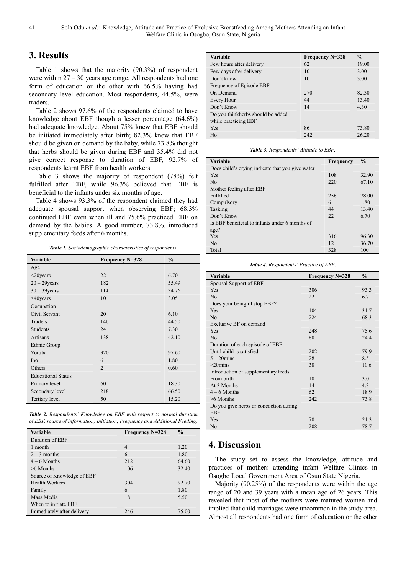# **3. Results**

Table 1 shows that the majority (90.3%) of respondent were within 27 – 30 years age range. All respondents had one form of education or the other with 66.5% having had secondary level education. Most respondents, 44.5%, were traders.

Table 2 shows 97.6% of the respondents claimed to have knowledge about EBF though a lesser percentage (64.6%) had adequate knowledge. About 75% knew that EBF should be initiated immediately after birth; 82.3% knew that EBF should be given on demand by the baby, while 73.8% thought that herbs should be given during EBF and 35.4% did not give correct response to duration of EBF, 92.7% of respondents learnt EBF from health workers.

Table 3 shows the majority of respondent (78%) felt fulfilled after EBF, while 96.3% believed that EBF is beneficial to the infants under six months of age.

Table 4 shows 93.3% of the respondent claimed they had adequate spousal support when observing EBF; 68.3% continued EBF even when ill and 75.6% practiced EBF on demand by the babies. A good number, 73.8%, introduced supplementary feeds after 6 months.

*Table 1. Sociodemographic characteristics of respondents.* 

| <b>Variable</b>           | Frequency N=328 | $\frac{0}{0}$ |
|---------------------------|-----------------|---------------|
| Age                       |                 |               |
| $<$ 20years               | 22              | 6.70          |
| $20 - 29$ years           | 182             | 55.49         |
| $30 - 39$ years           | 114             | 34.76         |
| $>40$ years               | 10              | 3.05          |
| Occupation                |                 |               |
| Civil Servant             | 20              | 6.10          |
| Traders                   | 146             | 44.50         |
| Students                  | 24              | 7.30          |
| Artisans                  | 138             | 42.10         |
| Ethnic Group              |                 |               |
| Yoruba                    | 320             | 97.60         |
| <b>Ibo</b>                | 6               | 1.80          |
| Others                    | $\overline{2}$  | 0.60          |
| <b>Educational Status</b> |                 |               |
| Primary level             | 60              | 18.30         |
| Secondary level           | 218             | 66.50         |
| Tertiary level            | 50              | 15.20         |

*Table 2. Respondents' Knowledge on EBF with respect to normal duration of EBF, source of information, Initiation, Frequency and Additional Feeding.* 

| <b>Variable</b>            | Frequency N=328 | $\frac{0}{0}$ |
|----------------------------|-----------------|---------------|
| Duration of EBF            |                 |               |
| 1 month                    | $\overline{4}$  | 1.20          |
| $2 - 3$ months             | 6               | 1.80          |
| $4-6$ Months               | 212             | 64.60         |
| $>6$ Months                | 106             | 32.40         |
| Source of Knowledge of EBF |                 |               |
| <b>Health Workers</b>      | 304             | 92.70         |
| Family                     | 6               | 1.80          |
| Mass Media                 | 18              | 5.50          |
| When to initiate EBF       |                 |               |
| Immediately after delivery | 246             | 75.00         |

| Variable                          | Frequency N=328 | $\frac{0}{0}$ |
|-----------------------------------|-----------------|---------------|
| Few hours after delivery          | 62              | 19.00         |
| Few days after delivery           | 10              | 3.00          |
| Don't know                        | 10              | 3.00          |
| Frequency of Episode EBF          |                 |               |
| On Demand                         | 270             | 82.30         |
| Every Hour                        | 44              | 13.40         |
| Don't Know                        | 14              | 4.30          |
| Do you thinkherbs should be added |                 |               |
| while practicing EBF.             |                 |               |
| Yes                               | 86              | 73.80         |
| N <sub>0</sub>                    | 242             | 26.20         |

*Table 3. Respondents' Attitude to EBF.* 

| <b>Variable</b>                                  | Frequency | $\frac{0}{0}$ |
|--------------------------------------------------|-----------|---------------|
| Does child's crying indicate that you give water |           |               |
| Yes                                              | 108       | 32.90         |
| N <sub>0</sub>                                   | 220       | 67.10         |
| Mother feeling after EBF                         |           |               |
| Fulfilled                                        | 256       | 78.00         |
| Compulsory                                       | 6         | 1.80          |
| Tasking                                          | 44        | 13.40         |
| Don't Know                                       | 22        | 6.70          |
| Is EBF beneficial to infants under 6 months of   |           |               |
| age?                                             |           |               |
| Yes                                              | 316       | 96.30         |
| N <sub>0</sub>                                   | 12        | 36.70         |
| Total                                            | 328       | 100           |

*Table 4. Respondents' Practice of EBF.* 

| Variable                               | Frequency N=328 | $\frac{6}{6}$ |
|----------------------------------------|-----------------|---------------|
| Spousal Support of EBF                 |                 |               |
| Yes                                    | 306             | 93.3          |
| N <sub>o</sub>                         | 22              | 6.7           |
| Does your being ill stop EBF?          |                 |               |
| Yes                                    | 104             | 31.7          |
| N <sub>0</sub>                         | 224             | 68.3          |
| Exclusive BF on demand                 |                 |               |
| Yes                                    | 248             | 75.6          |
| N <sub>0</sub>                         | 80              | 24.4          |
| Duration of each episode of EBF        |                 |               |
| Until child is satisfied               | 202             | 79.9          |
| $5 - 20$ mins                          | 28              | 8.5           |
| $>20$ mins                             | 38              | 11.6          |
| Introduction of supplementary feeds    |                 |               |
| From birth                             | 10              | 3.0           |
| At 3 Months                            | 14              | 4.3           |
| $4-6$ Months                           | 62              | 18.9          |
| $>6$ Months                            | 242             | 73.8          |
| Do you give herbs or concoction during |                 |               |
| <b>EBF</b>                             |                 |               |
| Yes                                    | 70              | 21.3          |
| N <sub>0</sub>                         | 208             | 78.7          |

# **4. Discussion**

The study set to assess the knowledge, attitude and practices of mothers attending infant Welfare Clinics in Osogbo Local Government Area of Osun State Nigeria.

Majority (90.25%) of the respondents were within the age range of 20 and 39 years with a mean age of 26 years. This revealed that most of the mothers were matured women and implied that child marriages were uncommon in the study area. Almost all respondents had one form of education or the other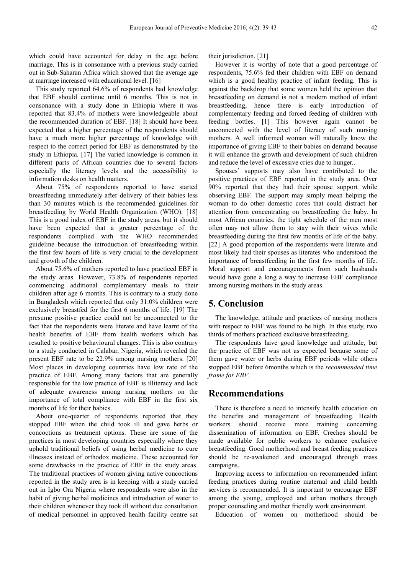which could have accounted for delay in the age before marriage. This is in consonance with a previous study carried out in Sub-Saharan Africa which showed that the average age at marriage increased with educational level. [16]

This study reported 64.6% of respondents had knowledge that EBF should continue until 6 months. This is not in consonance with a study done in Ethiopia where it was reported that 83.4% of mothers were knowledgeable about the recommended duration of EBF. [18] It should have been expected that a higher percentage of the respondents should have a much more higher percentage of knowledge with respect to the correct period for EBF as demonstrated by the study in Ethiopia. [17] The varied knowledge is common in different parts of African countries due to several factors especially the literacy levels and the accessibility to information desks on health matters.

About 75% of respondents reported to have started breastfeeding immediately after delivery of their babies less than 30 minutes which is the recommended guidelines for breastfeeding by World Health Organization (WHO). [18] This is a good index of EBF in the study areas, but it should have been expected that a greater percentage of the respondents complied with the WHO recommended guideline because the introduction of breastfeeding within the first few hours of life is very crucial to the development and growth of the children.

About 75.6% of mothers reported to have practiced EBF in the study areas. However, 73.8% of respondents reported commencing additional complementary meals to their children after age 6 months. This is contrary to a study done in Bangladesh which reported that only 31.0% children were exclusively breastfed for the first 6 months of life. [19] The presume positive practice could not be unconnected to the fact that the respondents were literate and have learnt of the health benefits of EBF from health workers which has resulted to positive behavioural changes. This is also contrary to a study conducted in Calabar, Nigeria, which revealed the present EBF rate to be 22.9% among nursing mothers. [20] Most places in developing countries have low rate of the practice of EBF. Among many factors that are generally responsible for the low practice of EBF is illiteracy and lack of adequate awareness among nursing mothers on the importance of total compliance with EBF in the first six months of life for their babies.

About one-quarter of respondents reported that they stopped EBF when the child took ill and gave herbs or concoctions as treatment options. These are some of the practices in most developing countries especially where they uphold traditional beliefs of using herbal medicine to cure illnesses instead of orthodox medicine. These accounted for some drawbacks in the practice of EBF in the study areas. The traditional practices of women giving native concoctions reported in the study area is in keeping with a study carried out in Igbo Ora Nigeria where respondents were also in the habit of giving herbal medicines and introduction of water to their children whenever they took ill without due consultation of medical personnel in approved health facility centre sat their jurisdiction. [21]

However it is worthy of note that a good percentage of respondents, 75.6% fed their children with EBF on demand which is a good healthy practice of infant feeding. This is against the backdrop that some women held the opinion that breastfeeding on demand is not a modern method of infant breastfeeding, hence there is early introduction of complementary feeding and forced feeding of children with feeding bottles. [1] This however again cannot be unconnected with the level of literacy of such nursing mothers. A well informed woman will naturally know the importance of giving EBF to their babies on demand because it will enhance the growth and development of such children and reduce the level of excessive cries due to hunger..

Spouses' supports may also have contributed to the positive practices of EBF reported in the study area. Over 90% reported that they had their spouse support while observing EBF. The support may simply mean helping the woman to do other domestic cores that could distract her attention from concentrating on breastfeeding the baby. In most African countries, the tight schedule of the men most often may not allow them to stay with their wives while breastfeeding during the first few months of life of the baby. [22] A good proportion of the respondents were literate and most likely had their spouses as literates who understood the importance of breastfeeding in the first few months of life. Moral support and encouragements from such husbands would have gone a long a way to increase EBF compliance among nursing mothers in the study areas.

# **5. Conclusion**

The knowledge, attitude and practices of nursing mothers with respect to EBF was found to be high. In this study, two thirds of mothers practiced exclusive breastfeeding.

The respondents have good knowledge and attitude, but the practice of EBF was not as expected because some of them gave water or herbs during EBF periods while others stopped EBF before 6months which is the *recommended time frame for EBF.* 

### **Recommendations**

There is therefore a need to intensify health education on the benefits and management of breastfeeding. Health workers should receive more training concerning dissemination of information on EBF. Creches should be made available for public workers to enhance exclusive breastfeeding. Good motherhood and breast feeding practices should be re-awakened and encouraged through mass campaigns.

Improving access to information on recommended infant feeding practices during routine maternal and child health services is recommended. It is important to encourage EBF among the young, employed and urban mothers through proper counseling and mother friendly work environment.

Education of women on motherhood should be